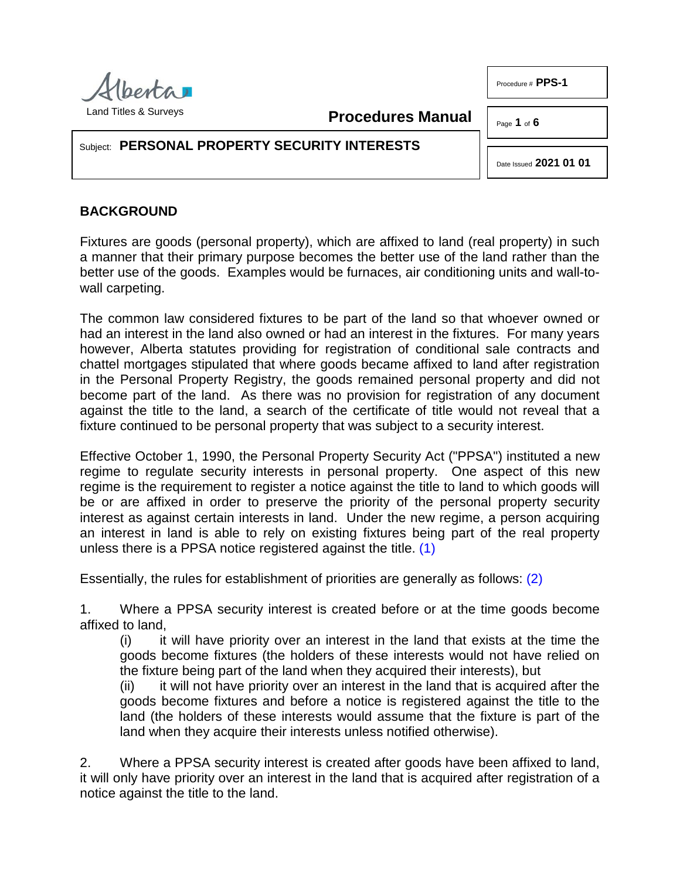

**Procedures Manual**

Page **1** of **6**

Procedure # **PPS-1**

# Subject: **PERSONAL PROPERTY SECURITY INTERESTS**

Date Issued **2021 01 01**

# **BACKGROUND**

Fixtures are goods (personal property), which are affixed to land (real property) in such a manner that their primary purpose becomes the better use of the land rather than the better use of the goods. Examples would be furnaces, air conditioning units and wall-towall carpeting.

The common law considered fixtures to be part of the land so that whoever owned or had an interest in the land also owned or had an interest in the fixtures. For many years however, Alberta statutes providing for registration of conditional sale contracts and chattel mortgages stipulated that where goods became affixed to land after registration in the Personal Property Registry, the goods remained personal property and did not become part of the land. As there was no provision for registration of any document against the title to the land, a search of the certificate of title would not reveal that a fixture continued to be personal property that was subject to a security interest.

Effective October 1, 1990, the Personal Property Security Act ("PPSA") instituted a new regime to regulate security interests in personal property. One aspect of this new regime is the requirement to register a notice against the title to land to which goods will be or are affixed in order to preserve the priority of the personal property security interest as against certain interests in land. Under the new regime, a person acquiring an interest in land is able to rely on existing fixtures being part of the real property unless there is a PPSA notice registered against the title. [\(1\)](#page-5-0)

Essentially, the rules for establishment of priorities are generally as follows: [\(2\)](#page-5-1)

1. Where a PPSA security interest is created before or at the time goods become affixed to land,

<span id="page-0-1"></span><span id="page-0-0"></span>(i) it will have priority over an interest in the land that exists at the time the goods become fixtures (the holders of these interests would not have relied on the fixture being part of the land when they acquired their interests), but

(ii) it will not have priority over an interest in the land that is acquired after the goods become fixtures and before a notice is registered against the title to the land (the holders of these interests would assume that the fixture is part of the land when they acquire their interests unless notified otherwise).

2. Where a PPSA security interest is created after goods have been affixed to land, it will only have priority over an interest in the land that is acquired after registration of a notice against the title to the land.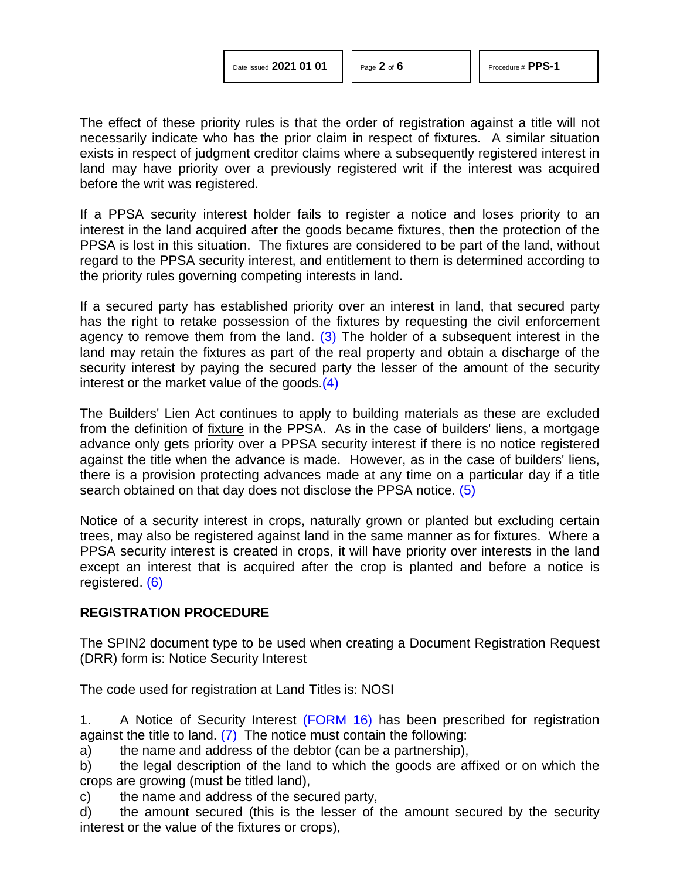The effect of these priority rules is that the order of registration against a title will not necessarily indicate who has the prior claim in respect of fixtures. A similar situation exists in respect of judgment creditor claims where a subsequently registered interest in land may have priority over a previously registered writ if the interest was acquired before the writ was registered.

If a PPSA security interest holder fails to register a notice and loses priority to an interest in the land acquired after the goods became fixtures, then the protection of the PPSA is lost in this situation. The fixtures are considered to be part of the land, without regard to the PPSA security interest, and entitlement to them is determined according to the priority rules governing competing interests in land.

<span id="page-1-0"></span>If a secured party has established priority over an interest in land, that secured party has the right to retake possession of the fixtures by requesting the civil enforcement agency to remove them from the land.  $(3)$  The holder of a subsequent interest in the land may retain the fixtures as part of the real property and obtain a discharge of the security interest by paying the secured party the lesser of the amount of the security interest or the market value of the goods[.\(4\)](#page-5-3)

<span id="page-1-1"></span>The Builders' Lien Act continues to apply to building materials as these are excluded from the definition of fixture in the PPSA. As in the case of builders' liens, a mortgage advance only gets priority over a PPSA security interest if there is no notice registered against the title when the advance is made. However, as in the case of builders' liens, there is a provision protecting advances made at any time on a particular day if a title search obtained on that day does not disclose the PPSA notice. [\(5\)](#page-5-4)

<span id="page-1-2"></span>Notice of a security interest in crops, naturally grown or planted but excluding certain trees, may also be registered against land in the same manner as for fixtures. Where a PPSA security interest is created in crops, it will have priority over interests in the land except an interest that is acquired after the crop is planted and before a notice is registered. [\(6\)](#page-5-5)

## <span id="page-1-3"></span>**REGISTRATION PROCEDURE**

The SPIN2 document type to be used when creating a Document Registration Request (DRR) form is: Notice Security Interest

The code used for registration at Land Titles is: NOSI

<span id="page-1-4"></span>1. A Notice of Security Interest [\(FORM 16\)](http://www.servicealberta.gov.ab.ca/pdf/ltmanual/PPS-1-FORM16.pdf) has been prescribed for registration against the title to land. [\(7\)](#page-5-6) The notice must contain the following:

a) the name and address of the debtor (can be a partnership),

b) the legal description of the land to which the goods are affixed or on which the crops are growing (must be titled land),

c) the name and address of the secured party,

d) the amount secured (this is the lesser of the amount secured by the security interest or the value of the fixtures or crops),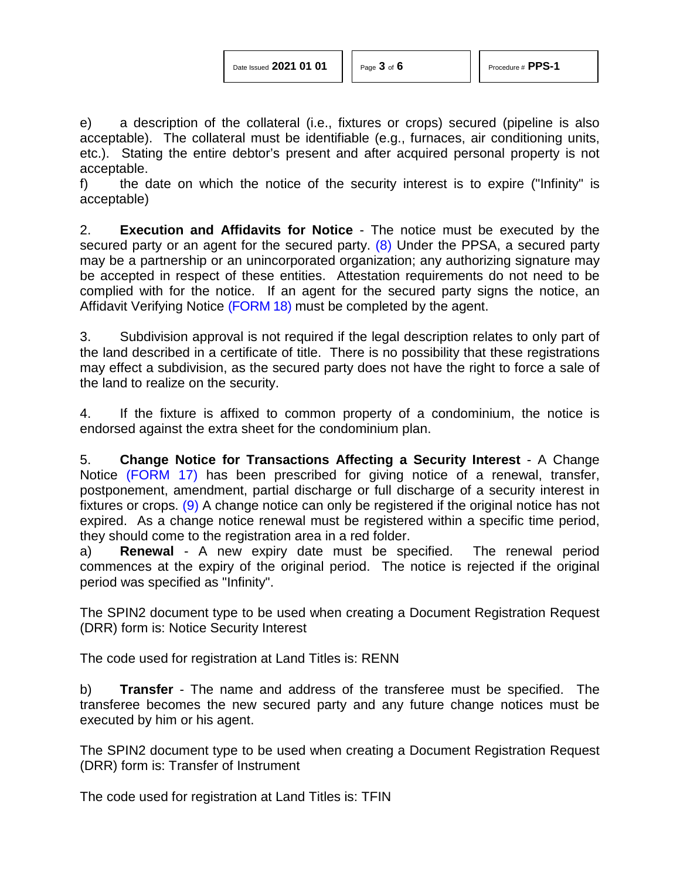<span id="page-2-0"></span>

e) a description of the collateral (i.e., fixtures or crops) secured (pipeline is also acceptable). The collateral must be identifiable (e.g., furnaces, air conditioning units, etc.). Stating the entire debtor's present and after acquired personal property is not acceptable.

f) the date on which the notice of the security interest is to expire ("Infinity" is acceptable)

2. **Execution and Affidavits for Notice** - The notice must be executed by the secured party or an agent for the secured party.  $(8)$  Under the PPSA, a secured party may be a partnership or an unincorporated organization; any authorizing signature may be accepted in respect of these entities. Attestation requirements do not need to be complied with for the notice. If an agent for the secured party signs the notice, an Affidavit Verifying Notice [\(FORM](http://www.servicealberta.gov.ab.ca/pdf/ltmanual/PPS-1-FORM18.PDF) 18) must be completed by the agent.

3. Subdivision approval is not required if the legal description relates to only part of the land described in a certificate of title. There is no possibility that these registrations may effect a subdivision, as the secured party does not have the right to force a sale of the land to realize on the security.

4. If the fixture is affixed to common property of a condominium, the notice is endorsed against the extra sheet for the condominium plan.

<span id="page-2-1"></span>5. **Change Notice for Transactions Affecting a Security Interest** - A Change Notice [\(FORM 17\)](http://www.servicealberta.gov.ab.ca/pdf/ltmanual/PPS-1-FORM17.PDF) has been prescribed for giving notice of a renewal, transfer, postponement, amendment, partial discharge or full discharge of a security interest in fixtures or crops. [\(9\)](#page-5-8) A change notice can only be registered if the original notice has not expired. As a change notice renewal must be registered within a specific time period, they should come to the registration area in a red folder.

a) **Renewal** - A new expiry date must be specified. The renewal period commences at the expiry of the original period. The notice is rejected if the original period was specified as "Infinity".

The SPIN2 document type to be used when creating a Document Registration Request (DRR) form is: Notice Security Interest

The code used for registration at Land Titles is: RENN

b) **Transfer** - The name and address of the transferee must be specified. The transferee becomes the new secured party and any future change notices must be executed by him or his agent.

The SPIN2 document type to be used when creating a Document Registration Request (DRR) form is: Transfer of Instrument

The code used for registration at Land Titles is: TFIN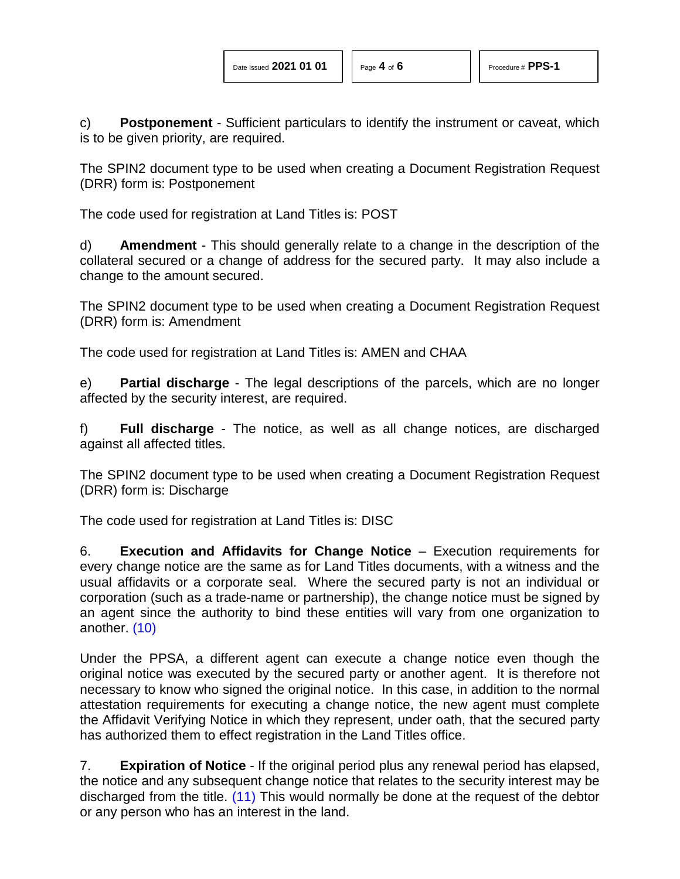c) **Postponement** - Sufficient particulars to identify the instrument or caveat, which is to be given priority, are required.

The SPIN2 document type to be used when creating a Document Registration Request (DRR) form is: Postponement

The code used for registration at Land Titles is: POST

d) **Amendment** - This should generally relate to a change in the description of the collateral secured or a change of address for the secured party. It may also include a change to the amount secured.

The SPIN2 document type to be used when creating a Document Registration Request (DRR) form is: Amendment

The code used for registration at Land Titles is: AMEN and CHAA

e) **Partial discharge** - The legal descriptions of the parcels, which are no longer affected by the security interest, are required.

f) **Full discharge** - The notice, as well as all change notices, are discharged against all affected titles.

The SPIN2 document type to be used when creating a Document Registration Request (DRR) form is: Discharge

The code used for registration at Land Titles is: DISC

6. **Execution and Affidavits for Change Notice** – Execution requirements for every change notice are the same as for Land Titles documents, with a witness and the usual affidavits or a corporate seal. Where the secured party is not an individual or corporation (such as a trade-name or partnership), the change notice must be signed by an agent since the authority to bind these entities will vary from one organization to another. [\(10\)](#page-5-9)

<span id="page-3-0"></span>Under the PPSA, a different agent can execute a change notice even though the original notice was executed by the secured party or another agent. It is therefore not necessary to know who signed the original notice. In this case, in addition to the normal attestation requirements for executing a change notice, the new agent must complete the Affidavit Verifying Notice in which they represent, under oath, that the secured party has authorized them to effect registration in the Land Titles office.

<span id="page-3-1"></span>7. **Expiration of Notice** - If the original period plus any renewal period has elapsed, the notice and any subsequent change notice that relates to the security interest may be discharged from the title. [\(11\)](#page-5-10) This would normally be done at the request of the debtor or any person who has an interest in the land.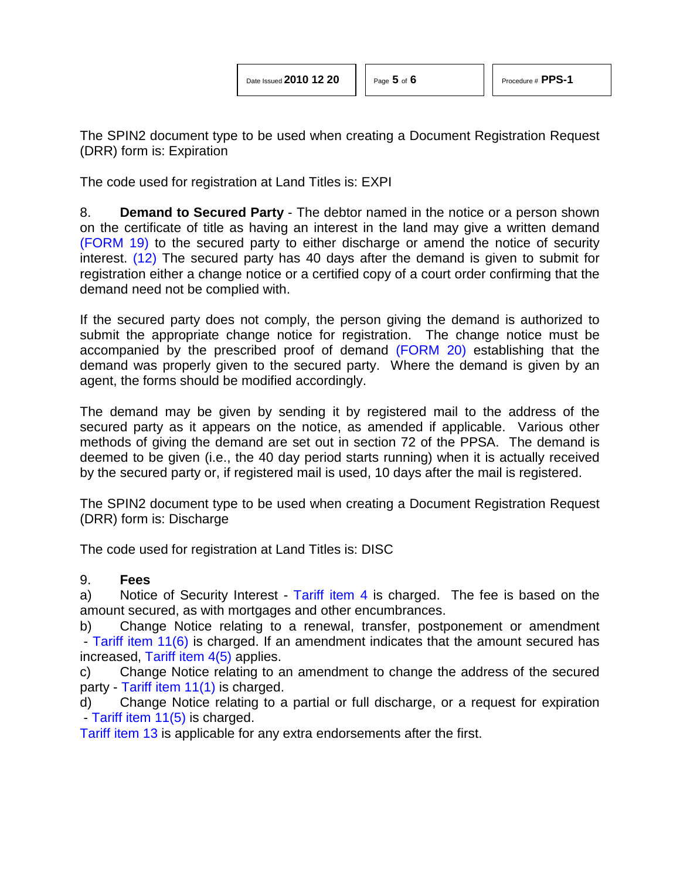The SPIN2 document type to be used when creating a Document Registration Request (DRR) form is: Expiration

The code used for registration at Land Titles is: EXPI

<span id="page-4-0"></span>8. **Demand to Secured Party** - The debtor named in the notice or a person shown on the certificate of title as having an interest in the land may give a written demand [\(FORM 19\)](http://www.servicealberta.gov.ab.ca/pdf/ltmanual/PPS-1-FORM19.PDF) to the secured party to either discharge or amend the notice of security interest. [\(12\)](#page-5-11) The secured party has 40 days after the demand is given to submit for registration either a change notice or a certified copy of a court order confirming that the demand need not be complied with.

If the secured party does not comply, the person giving the demand is authorized to submit the appropriate change notice for registration. The change notice must be accompanied by the prescribed proof of demand [\(FORM 20\)](http://www.servicealberta.gov.ab.ca/pdf/ltmanual/PPS-1-FORM20.PDF) establishing that the demand was properly given to the secured party. Where the demand is given by an agent, the forms should be modified accordingly.

The demand may be given by sending it by registered mail to the address of the secured party as it appears on the notice, as amended if applicable. Various other methods of giving the demand are set out in section 72 of the PPSA. The demand is deemed to be given (i.e., the 40 day period starts running) when it is actually received by the secured party or, if registered mail is used, 10 days after the mail is registered.

The SPIN2 document type to be used when creating a Document Registration Request (DRR) form is: Discharge

The code used for registration at Land Titles is: DISC

## 9. **Fees**

a) Notice of Security Interest - [Tariff item 4](http://www.servicealberta.ca/pdf/ltmanual/APPENDIXI.PDF) is charged. The fee is based on the amount secured, as with mortgages and other encumbrances.

b) Change Notice relating to a renewal, transfer, postponement or amendment - [Tariff item 11\(6\)](http://www.servicealberta.ca/pdf/ltmanual/APPENDIXI.PDF) is charged. If an amendment indicates that the amount secured has increased, [Tariff item 4\(5\)](http://www.servicealberta.ca/pdf/ltmanual/APPENDIXI.PDF) applies.

c) Change Notice relating to an amendment to change the address of the secured party - [Tariff item 11\(1\)](http://www.servicealberta.ca/pdf/ltmanual/APPENDIXI.PDF) is charged.

d) Change Notice relating to a partial or full discharge, or a request for expiration - [Tariff item 11\(5\)](http://www.servicealberta.ca/pdf/ltmanual/APPENDIXI.PDF) is charged.

[Tariff item 13](http://www.servicealberta.ca/pdf/ltmanual/APPENDIXI.PDF) is applicable for any extra endorsements after the first.